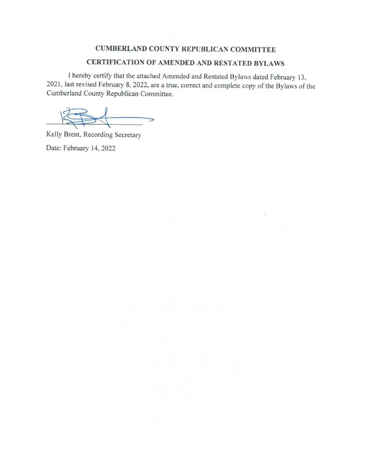#### **CUMBERLAND COUNTY REPUBLICAN COMMITTEE**

#### CERTIFICATION OF AMENDED AND RESTATED BYLAWS

I hereby certify that the attached Amended and Restated Bylaws dated February 13, 2021, last revised February 8, 2022, are a true, correct and complete copy of the Bylaws of the Cumberland County Republican Committee.

 $\qquad \qquad$ 

Kelly Brent, Recording Secretary Date: February 14, 2022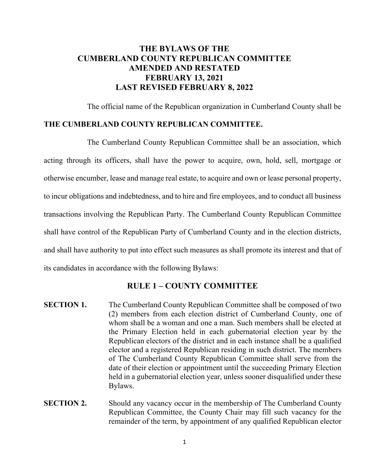# **THE BYLAWS OF THE CUMBERLAND COUNTY REPUBLICAN COMMITTEE AMENDED AND RESTATED FEBRUARY 13, 2021 LAST REVISED FEBRUARY 8, 2022**

The official name of the Republican organization in Cumberland County shall be

#### **THE CUMBERLAND COUNTY REPUBLICAN COMMITTEE.**

The Cumberland County Republican Committee shall be an association, which acting through its officers, shall have the power to acquire, own, hold, sell, mortgage or otherwise encumber, lease and manage real estate, to acquire and own or lease personal property, to incur obligations and indebtedness, and to hire and fire employees, and to conduct all business transactions involving the Republican Party. The Cumberland County Republican Committee shall have control of the Republican Party of Cumberland County and in the election districts, and shall have authority to put into effect such measures as shall promote its interest and that of its candidates in accordance with the following Bylaws:

### **RULE 1 – COUNTY COMMITTEE**

- **SECTION 1.** The Cumberland County Republican Committee shall be composed of two (2) members from each election district of Cumberland County, one of whom shall be a woman and one a man. Such members shall be elected at the Primary Election held in each gubernatorial election year by the Republican electors of the district and in each instance shall be a qualified elector and a registered Republican residing in such district. The members of The Cumberland County Republican Committee shall serve from the date of their election or appointment until the succeeding Primary Election held in a gubernatorial election year, unless sooner disqualified under these Bylaws.
- **SECTION 2.** Should any vacancy occur in the membership of The Cumberland County Republican Committee, the County Chair may fill such vacancy for the remainder of the term, by appointment of any qualified Republican elector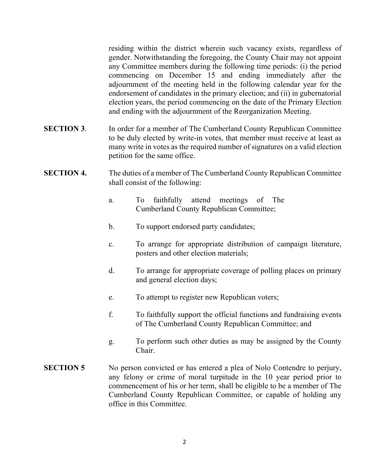residing within the district wherein such vacancy exists, regardless of gender. Notwithstanding the foregoing, the County Chair may not appoint any Committee members during the following time periods: (i) the period commencing on December 15 and ending immediately after the adjournment of the meeting held in the following calendar year for the endorsement of candidates in the primary election; and (ii) in gubernatorial election years, the period commencing on the date of the Primary Election and ending with the adjournment of the Reorganization Meeting.

- **SECTION 3**. In order for a member of The Cumberland County Republican Committee to be duly elected by write-in votes, that member must receive at least as many write in votes as the required number of signatures on a valid election petition for the same office.
- **SECTION 4.** The duties of a member of The Cumberland County Republican Committee shall consist of the following:
	- a. To faithfully attend meetings of The Cumberland County Republican Committee;
	- b. To support endorsed party candidates;
	- c. To arrange for appropriate distribution of campaign literature, posters and other election materials;
	- d. To arrange for appropriate coverage of polling places on primary and general election days;
	- e. To attempt to register new Republican voters;
	- f. To faithfully support the official functions and fundraising events of The Cumberland County Republican Committee; and
	- g. To perform such other duties as may be assigned by the County Chair.
- **SECTION 5** No person convicted or has entered a plea of Nolo Contendre to perjury, any felony or crime of moral turpitude in the 10 year period prior to commencement of his or her term, shall be eligible to be a member of The Cumberland County Republican Committee, or capable of holding any office in this Committee.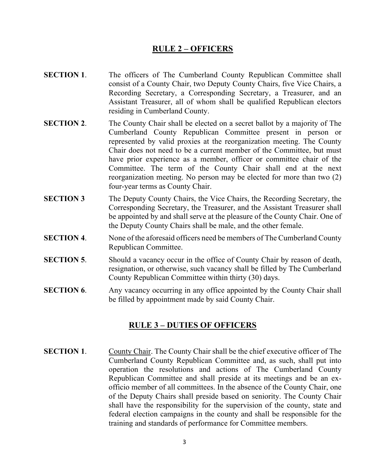### **RULE 2 – OFFICERS**

- **SECTION 1.** The officers of The Cumberland County Republican Committee shall consist of a County Chair, two Deputy County Chairs, five Vice Chairs, a Recording Secretary, a Corresponding Secretary, a Treasurer, and an Assistant Treasurer, all of whom shall be qualified Republican electors residing in Cumberland County.
- **SECTION 2.** The County Chair shall be elected on a secret ballot by a majority of The Cumberland County Republican Committee present in person or represented by valid proxies at the reorganization meeting. The County Chair does not need to be a current member of the Committee, but must have prior experience as a member, officer or committee chair of the Committee. The term of the County Chair shall end at the next reorganization meeting. No person may be elected for more than two (2) four-year terms as County Chair.
- **SECTION 3** The Deputy County Chairs, the Vice Chairs, the Recording Secretary, the Corresponding Secretary, the Treasurer, and the Assistant Treasurer shall be appointed by and shall serve at the pleasure of the County Chair. One of the Deputy County Chairs shall be male, and the other female.
- **SECTION 4.** None of the aforesaid officers need be members of The Cumberland County Republican Committee.
- **SECTION 5.** Should a vacancy occur in the office of County Chair by reason of death, resignation, or otherwise, such vacancy shall be filled by The Cumberland County Republican Committee within thirty (30) days.
- **SECTION 6.** Any vacancy occurring in any office appointed by the County Chair shall be filled by appointment made by said County Chair.

#### **RULE 3 – DUTIES OF OFFICERS**

**SECTION 1.** County Chair. The County Chair shall be the chief executive officer of The Cumberland County Republican Committee and, as such, shall put into operation the resolutions and actions of The Cumberland County Republican Committee and shall preside at its meetings and be an exofficio member of all committees. In the absence of the County Chair, one of the Deputy Chairs shall preside based on seniority. The County Chair shall have the responsibility for the supervision of the county, state and federal election campaigns in the county and shall be responsible for the training and standards of performance for Committee members.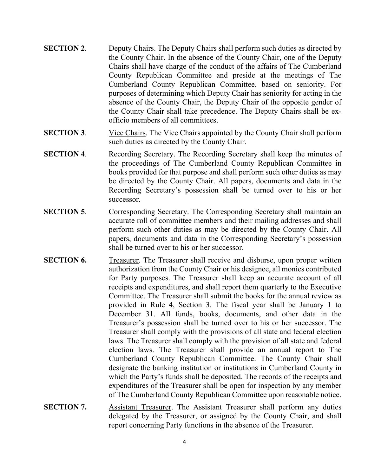- **SECTION 2.** Deputy Chairs. The Deputy Chairs shall perform such duties as directed by the County Chair. In the absence of the County Chair, one of the Deputy Chairs shall have charge of the conduct of the affairs of The Cumberland County Republican Committee and preside at the meetings of The Cumberland County Republican Committee, based on seniority. For purposes of determining which Deputy Chair has seniority for acting in the absence of the County Chair, the Deputy Chair of the opposite gender of the County Chair shall take precedence. The Deputy Chairs shall be exofficio members of all committees.
- **SECTION 3.** Vice Chairs. The Vice Chairs appointed by the County Chair shall perform such duties as directed by the County Chair.
- **SECTION 4.** Recording Secretary. The Recording Secretary shall keep the minutes of the proceedings of The Cumberland County Republican Committee in books provided for that purpose and shall perform such other duties as may be directed by the County Chair. All papers, documents and data in the Recording Secretary's possession shall be turned over to his or her successor.
- **SECTION 5.** Corresponding Secretary. The Corresponding Secretary shall maintain an accurate roll of committee members and their mailing addresses and shall perform such other duties as may be directed by the County Chair. All papers, documents and data in the Corresponding Secretary's possession shall be turned over to his or her successor.
- **SECTION 6.** Treasurer. The Treasurer shall receive and disburse, upon proper written authorization from the County Chair or his designee, all monies contributed for Party purposes. The Treasurer shall keep an accurate account of all receipts and expenditures, and shall report them quarterly to the Executive Committee. The Treasurer shall submit the books for the annual review as provided in Rule 4, Section 3. The fiscal year shall be January 1 to December 31. All funds, books, documents, and other data in the Treasurer's possession shall be turned over to his or her successor. The Treasurer shall comply with the provisions of all state and federal election laws. The Treasurer shall comply with the provision of all state and federal election laws. The Treasurer shall provide an annual report to The Cumberland County Republican Committee. The County Chair shall designate the banking institution or institutions in Cumberland County in which the Party's funds shall be deposited. The records of the receipts and expenditures of the Treasurer shall be open for inspection by any member of The Cumberland County Republican Committee upon reasonable notice.
- **SECTION 7.** Assistant Treasurer. The Assistant Treasurer shall perform any duties delegated by the Treasurer, or assigned by the County Chair, and shall report concerning Party functions in the absence of the Treasurer.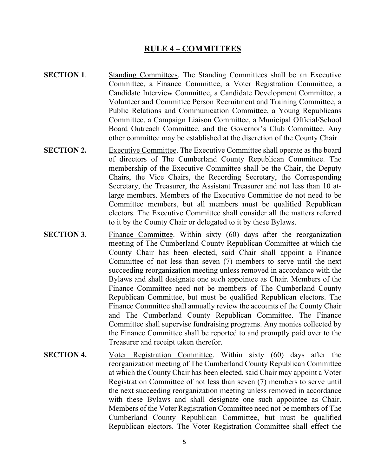## **RULE 4 – COMMITTEES**

- **SECTION 1.** Standing Committees. The Standing Committees shall be an Executive Committee, a Finance Committee, a Voter Registration Committee, a Candidate Interview Committee, a Candidate Development Committee, a Volunteer and Committee Person Recruitment and Training Committee, a Public Relations and Communication Committee, a Young Republicans Committee, a Campaign Liaison Committee, a Municipal Official/School Board Outreach Committee, and the Governor's Club Committee. Any other committee may be established at the discretion of the County Chair.
- **SECTION 2.** Executive Committee. The Executive Committee shall operate as the board of directors of The Cumberland County Republican Committee. The membership of the Executive Committee shall be the Chair, the Deputy Chairs, the Vice Chairs, the Recording Secretary, the Corresponding Secretary, the Treasurer, the Assistant Treasurer and not less than 10 atlarge members. Members of the Executive Committee do not need to be Committee members, but all members must be qualified Republican electors. The Executive Committee shall consider all the matters referred to it by the County Chair or delegated to it by these Bylaws.
- **SECTION 3.** Finance Committee. Within sixty (60) days after the reorganization meeting of The Cumberland County Republican Committee at which the County Chair has been elected, said Chair shall appoint a Finance Committee of not less than seven (7) members to serve until the next succeeding reorganization meeting unless removed in accordance with the Bylaws and shall designate one such appointee as Chair. Members of the Finance Committee need not be members of The Cumberland County Republican Committee, but must be qualified Republican electors. The Finance Committee shall annually review the accounts of the County Chair and The Cumberland County Republican Committee. The Finance Committee shall supervise fundraising programs. Any monies collected by the Finance Committee shall be reported to and promptly paid over to the Treasurer and receipt taken therefor.
- **SECTION 4.** Voter Registration Committee. Within sixty (60) days after the reorganization meeting of The Cumberland County Republican Committee at which the County Chair has been elected, said Chair may appoint a Voter Registration Committee of not less than seven (7) members to serve until the next succeeding reorganization meeting unless removed in accordance with these Bylaws and shall designate one such appointee as Chair. Members of the Voter Registration Committee need not be members of The Cumberland County Republican Committee, but must be qualified Republican electors. The Voter Registration Committee shall effect the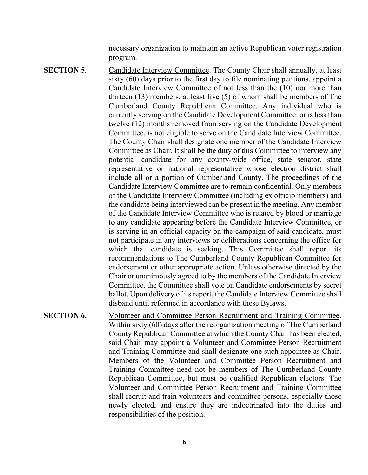necessary organization to maintain an active Republican voter registration program.

- **SECTION 5.** Candidate Interview Committee. The County Chair shall annually, at least sixty (60) days prior to the first day to file nominating petitions, appoint a Candidate Interview Committee of not less than the (10) nor more than thirteen (13) members, at least five (5) of whom shall be members of The Cumberland County Republican Committee. Any individual who is currently serving on the Candidate Development Committee, or is less than twelve (12) months removed from serving on the Candidate Development Committee, is not eligible to serve on the Candidate Interview Committee. The County Chair shall designate one member of the Candidate Interview Committee as Chair. It shall be the duty of this Committee to interview any potential candidate for any county-wide office, state senator, state representative or national representative whose election district shall include all or a portion of Cumberland County. The proceedings of the Candidate Interview Committee are to remain confidential. Only members of the Candidate Interview Committee (including ex officio members) and the candidate being interviewed can be present in the meeting. Any member of the Candidate Interview Committee who is related by blood or marriage to any candidate appearing before the Candidate Interview Committee, or is serving in an official capacity on the campaign of said candidate, must not participate in any interviews or deliberations concerning the office for which that candidate is seeking. This Committee shall report its recommendations to The Cumberland County Republican Committee for endorsement or other appropriate action. Unless otherwise directed by the Chair or unanimously agreed to by the members of the Candidate Interview Committee, the Committee shall vote on Candidate endorsements by secret ballot. Upon delivery of its report, the Candidate Interview Committee shall disband until reformed in accordance with these Bylaws.
- **SECTION 6.** Volunteer and Committee Person Recruitment and Training Committee. Within sixty (60) days after the reorganization meeting of The Cumberland County Republican Committee at which the County Chair has been elected, said Chair may appoint a Volunteer and Committee Person Recruitment and Training Committee and shall designate one such appointee as Chair. Members of the Volunteer and Committee Person Recruitment and Training Committee need not be members of The Cumberland County Republican Committee, but must be qualified Republican electors. The Volunteer and Committee Person Recruitment and Training Committee shall recruit and train volunteers and committee persons, especially those newly elected, and ensure they are indoctrinated into the duties and responsibilities of the position.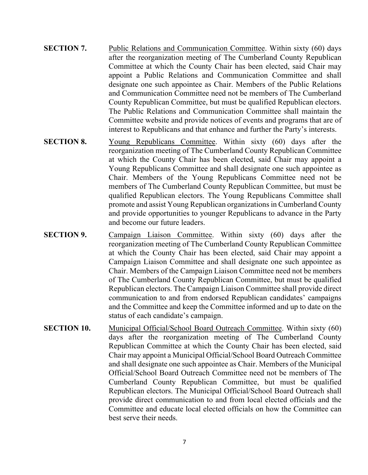- **SECTION 7.** Public Relations and Communication Committee. Within sixty (60) days after the reorganization meeting of The Cumberland County Republican Committee at which the County Chair has been elected, said Chair may appoint a Public Relations and Communication Committee and shall designate one such appointee as Chair. Members of the Public Relations and Communication Committee need not be members of The Cumberland County Republican Committee, but must be qualified Republican electors. The Public Relations and Communication Committee shall maintain the Committee website and provide notices of events and programs that are of interest to Republicans and that enhance and further the Party's interests.
- **SECTION 8.** Young Republicans Committee. Within sixty (60) days after the reorganization meeting of The Cumberland County Republican Committee at which the County Chair has been elected, said Chair may appoint a Young Republicans Committee and shall designate one such appointee as Chair. Members of the Young Republicans Committee need not be members of The Cumberland County Republican Committee, but must be qualified Republican electors. The Young Republicans Committee shall promote and assist Young Republican organizations in Cumberland County and provide opportunities to younger Republicans to advance in the Party and become our future leaders.
- **SECTION 9.** Campaign Liaison Committee. Within sixty (60) days after the reorganization meeting of The Cumberland County Republican Committee at which the County Chair has been elected, said Chair may appoint a Campaign Liaison Committee and shall designate one such appointee as Chair. Members of the Campaign Liaison Committee need not be members of The Cumberland County Republican Committee, but must be qualified Republican electors. The Campaign Liaison Committee shall provide direct communication to and from endorsed Republican candidates' campaigns and the Committee and keep the Committee informed and up to date on the status of each candidate's campaign.
- **SECTION 10.** Municipal Official/School Board Outreach Committee. Within sixty (60) days after the reorganization meeting of The Cumberland County Republican Committee at which the County Chair has been elected, said Chair may appoint a Municipal Official/School Board Outreach Committee and shall designate one such appointee as Chair. Members of the Municipal Official/School Board Outreach Committee need not be members of The Cumberland County Republican Committee, but must be qualified Republican electors. The Municipal Official/School Board Outreach shall provide direct communication to and from local elected officials and the Committee and educate local elected officials on how the Committee can best serve their needs.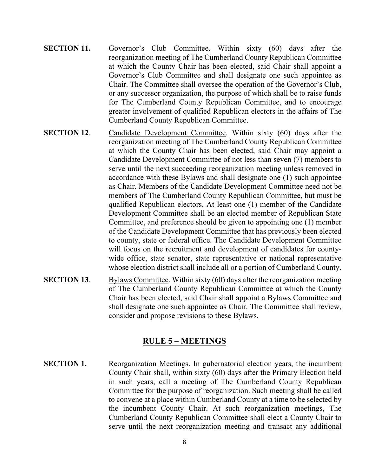- **SECTION 11.** Governor's Club Committee. Within sixty (60) days after the reorganization meeting of The Cumberland County Republican Committee at which the County Chair has been elected, said Chair shall appoint a Governor's Club Committee and shall designate one such appointee as Chair. The Committee shall oversee the operation of the Governor's Club, or any successor organization, the purpose of which shall be to raise funds for The Cumberland County Republican Committee, and to encourage greater involvement of qualified Republican electors in the affairs of The Cumberland County Republican Committee.
- **SECTION 12.** Candidate Development Committee. Within sixty (60) days after the reorganization meeting of The Cumberland County Republican Committee at which the County Chair has been elected, said Chair may appoint a Candidate Development Committee of not less than seven (7) members to serve until the next succeeding reorganization meeting unless removed in accordance with these Bylaws and shall designate one (1) such appointee as Chair. Members of the Candidate Development Committee need not be members of The Cumberland County Republican Committee, but must be qualified Republican electors. At least one (1) member of the Candidate Development Committee shall be an elected member of Republican State Committee, and preference should be given to appointing one (1) member of the Candidate Development Committee that has previously been elected to county, state or federal office. The Candidate Development Committee will focus on the recruitment and development of candidates for countywide office, state senator, state representative or national representative whose election district shall include all or a portion of Cumberland County.
- **SECTION 13.** Bylaws Committee. Within sixty (60) days after the reorganization meeting of The Cumberland County Republican Committee at which the County Chair has been elected, said Chair shall appoint a Bylaws Committee and shall designate one such appointee as Chair. The Committee shall review, consider and propose revisions to these Bylaws.

### **RULE 5 – MEETINGS**

**SECTION 1.** Reorganization Meetings. In gubernatorial election years, the incumbent County Chair shall, within sixty (60) days after the Primary Election held in such years, call a meeting of The Cumberland County Republican Committee for the purpose of reorganization. Such meeting shall be called to convene at a place within Cumberland County at a time to be selected by the incumbent County Chair. At such reorganization meetings, The Cumberland County Republican Committee shall elect a County Chair to serve until the next reorganization meeting and transact any additional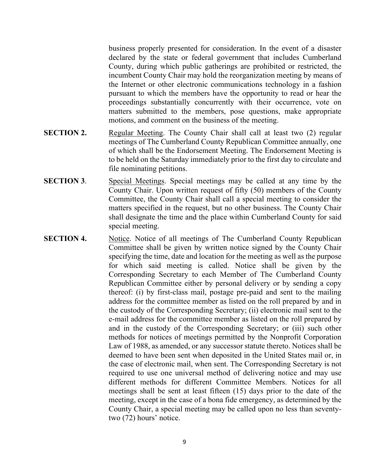business properly presented for consideration. In the event of a disaster declared by the state or federal government that includes Cumberland County, during which public gatherings are prohibited or restricted, the incumbent County Chair may hold the reorganization meeting by means of the Internet or other electronic communications technology in a fashion pursuant to which the members have the opportunity to read or hear the proceedings substantially concurrently with their occurrence, vote on matters submitted to the members, pose questions, make appropriate motions, and comment on the business of the meeting.

- **SECTION 2.** Regular Meeting. The County Chair shall call at least two (2) regular meetings of The Cumberland County Republican Committee annually, one of which shall be the Endorsement Meeting. The Endorsement Meeting is to be held on the Saturday immediately prior to the first day to circulate and file nominating petitions.
- **SECTION 3.** Special Meetings. Special meetings may be called at any time by the County Chair. Upon written request of fifty (50) members of the County Committee, the County Chair shall call a special meeting to consider the matters specified in the request, but no other business. The County Chair shall designate the time and the place within Cumberland County for said special meeting.
- **SECTION 4.** Notice. Notice of all meetings of The Cumberland County Republican Committee shall be given by written notice signed by the County Chair specifying the time, date and location for the meeting as well as the purpose for which said meeting is called. Notice shall be given by the Corresponding Secretary to each Member of The Cumberland County Republican Committee either by personal delivery or by sending a copy thereof: (i) by first-class mail, postage pre-paid and sent to the mailing address for the committee member as listed on the roll prepared by and in the custody of the Corresponding Secretary; (ii) electronic mail sent to the e-mail address for the committee member as listed on the roll prepared by and in the custody of the Corresponding Secretary; or (iii) such other methods for notices of meetings permitted by the Nonprofit Corporation Law of 1988, as amended, or any successor statute thereto. Notices shall be deemed to have been sent when deposited in the United States mail or, in the case of electronic mail, when sent. The Corresponding Secretary is not required to use one universal method of delivering notice and may use different methods for different Committee Members. Notices for all meetings shall be sent at least fifteen (15) days prior to the date of the meeting, except in the case of a bona fide emergency, as determined by the County Chair, a special meeting may be called upon no less than seventytwo (72) hours' notice.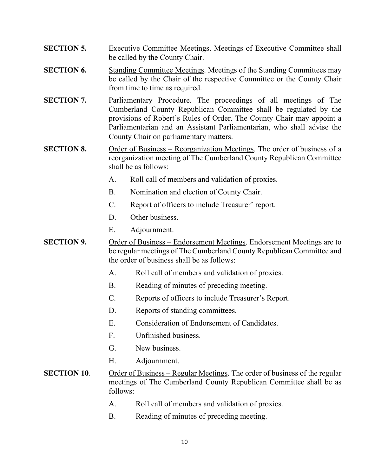- **SECTION 5.** Executive Committee Meetings. Meetings of Executive Committee shall be called by the County Chair.
- **SECTION 6.** Standing Committee Meetings. Meetings of the Standing Committees may be called by the Chair of the respective Committee or the County Chair from time to time as required.
- **SECTION 7.** Parliamentary Procedure. The proceedings of all meetings of The Cumberland County Republican Committee shall be regulated by the provisions of Robert's Rules of Order. The County Chair may appoint a Parliamentarian and an Assistant Parliamentarian, who shall advise the County Chair on parliamentary matters.
- **SECTION 8.** Order of Business Reorganization Meetings. The order of business of a reorganization meeting of The Cumberland County Republican Committee shall be as follows:
	- A. Roll call of members and validation of proxies.
	- B. Nomination and election of County Chair.
	- C. Report of officers to include Treasurer' report.
	- D. Other business.
	- E. Adjournment.
- **SECTION 9.** Order of Business Endorsement Meetings. Endorsement Meetings are to be regular meetings of The Cumberland County Republican Committee and the order of business shall be as follows:
	- A. Roll call of members and validation of proxies.
	- B. Reading of minutes of preceding meeting.
	- C. Reports of officers to include Treasurer's Report.
	- D. Reports of standing committees.
	- E. Consideration of Endorsement of Candidates.
	- F. Unfinished business.
	- G. New business.
	- H. Adjournment.
- **SECTION 10.** Order of Business Regular Meetings. The order of business of the regular meetings of The Cumberland County Republican Committee shall be as follows:
	- A. Roll call of members and validation of proxies.
	- B. Reading of minutes of preceding meeting.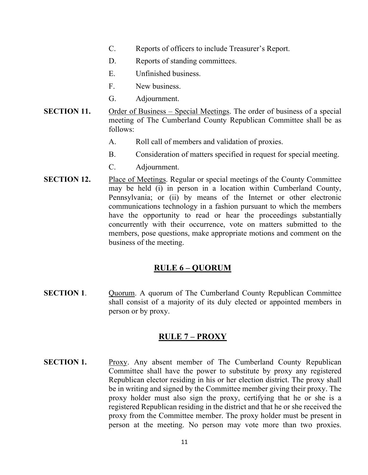- C. Reports of officers to include Treasurer's Report.
- D. Reports of standing committees.
- E. Unfinished business.
- F. New business.
- G. Adjournment.
- **SECTION 11.** Order of Business Special Meetings. The order of business of a special meeting of The Cumberland County Republican Committee shall be as follows:
	- A. Roll call of members and validation of proxies.
	- B. Consideration of matters specified in request for special meeting.
	- C. Adjournment.
- **SECTION 12.** Place of Meetings. Regular or special meetings of the County Committee may be held (i) in person in a location within Cumberland County, Pennsylvania; or (ii) by means of the Internet or other electronic communications technology in a fashion pursuant to which the members have the opportunity to read or hear the proceedings substantially concurrently with their occurrence, vote on matters submitted to the members, pose questions, make appropriate motions and comment on the business of the meeting.

### **RULE 6 – QUORUM**

**SECTION 1.** Quorum. A quorum of The Cumberland County Republican Committee shall consist of a majority of its duly elected or appointed members in person or by proxy.

### **RULE 7 – PROXY**

**SECTION 1.** Proxy. Any absent member of The Cumberland County Republican Committee shall have the power to substitute by proxy any registered Republican elector residing in his or her election district. The proxy shall be in writing and signed by the Committee member giving their proxy. The proxy holder must also sign the proxy, certifying that he or she is a registered Republican residing in the district and that he or she received the proxy from the Committee member. The proxy holder must be present in person at the meeting. No person may vote more than two proxies.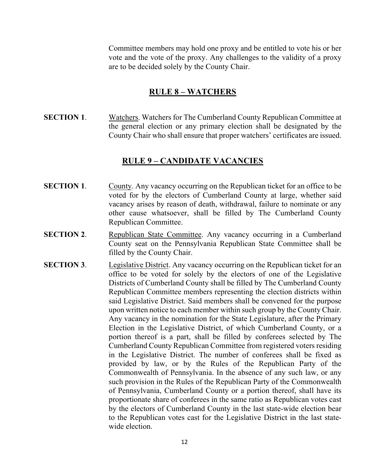Committee members may hold one proxy and be entitled to vote his or her vote and the vote of the proxy. Any challenges to the validity of a proxy are to be decided solely by the County Chair.

#### **RULE 8 – WATCHERS**

**SECTION 1.** Watchers. Watchers for The Cumberland County Republican Committee at the general election or any primary election shall be designated by the County Chair who shall ensure that proper watchers' certificates are issued.

#### **RULE 9 – CANDIDATE VACANCIES**

- **SECTION 1.** County. Any vacancy occurring on the Republican ticket for an office to be voted for by the electors of Cumberland County at large, whether said vacancy arises by reason of death, withdrawal, failure to nominate or any other cause whatsoever, shall be filled by The Cumberland County Republican Committee.
- **SECTION 2.** Republican State Committee. Any vacancy occurring in a Cumberland County seat on the Pennsylvania Republican State Committee shall be filled by the County Chair.
- **SECTION 3.** Legislative District. Any vacancy occurring on the Republican ticket for an office to be voted for solely by the electors of one of the Legislative Districts of Cumberland County shall be filled by The Cumberland County Republican Committee members representing the election districts within said Legislative District. Said members shall be convened for the purpose upon written notice to each member within such group by the County Chair. Any vacancy in the nomination for the State Legislature, after the Primary Election in the Legislative District, of which Cumberland County, or a portion thereof is a part, shall be filled by conferees selected by The Cumberland County Republican Committee from registered voters residing in the Legislative District. The number of conferees shall be fixed as provided by law, or by the Rules of the Republican Party of the Commonwealth of Pennsylvania. In the absence of any such law, or any such provision in the Rules of the Republican Party of the Commonwealth of Pennsylvania, Cumberland County or a portion thereof, shall have its proportionate share of conferees in the same ratio as Republican votes cast by the electors of Cumberland County in the last state-wide election bear to the Republican votes cast for the Legislative District in the last statewide election.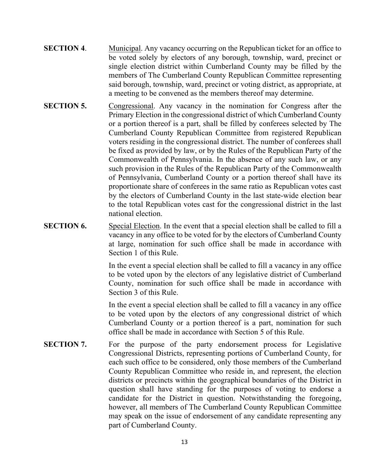- **SECTION 4.** Municipal. Any vacancy occurring on the Republican ticket for an office to be voted solely by electors of any borough, township, ward, precinct or single election district within Cumberland County may be filled by the members of The Cumberland County Republican Committee representing said borough, township, ward, precinct or voting district, as appropriate, at a meeting to be convened as the members thereof may determine.
- **SECTION 5.** Congressional. Any vacancy in the nomination for Congress after the Primary Election in the congressional district of which Cumberland County or a portion thereof is a part, shall be filled by conferees selected by The Cumberland County Republican Committee from registered Republican voters residing in the congressional district. The number of conferees shall be fixed as provided by law, or by the Rules of the Republican Party of the Commonwealth of Pennsylvania. In the absence of any such law, or any such provision in the Rules of the Republican Party of the Commonwealth of Pennsylvania, Cumberland County or a portion thereof shall have its proportionate share of conferees in the same ratio as Republican votes cast by the electors of Cumberland County in the last state-wide election bear to the total Republican votes cast for the congressional district in the last national election.
- **SECTION 6.** Special Election. In the event that a special election shall be called to fill a vacancy in any office to be voted for by the electors of Cumberland County at large, nomination for such office shall be made in accordance with Section 1 of this Rule.

In the event a special election shall be called to fill a vacancy in any office to be voted upon by the electors of any legislative district of Cumberland County, nomination for such office shall be made in accordance with Section 3 of this Rule.

In the event a special election shall be called to fill a vacancy in any office to be voted upon by the electors of any congressional district of which Cumberland County or a portion thereof is a part, nomination for such office shall be made in accordance with Section 5 of this Rule.

**SECTION 7.** For the purpose of the party endorsement process for Legislative Congressional Districts, representing portions of Cumberland County, for each such office to be considered, only those members of the Cumberland County Republican Committee who reside in, and represent, the election districts or precincts within the geographical boundaries of the District in question shall have standing for the purposes of voting to endorse a candidate for the District in question. Notwithstanding the foregoing, however, all members of The Cumberland County Republican Committee may speak on the issue of endorsement of any candidate representing any part of Cumberland County.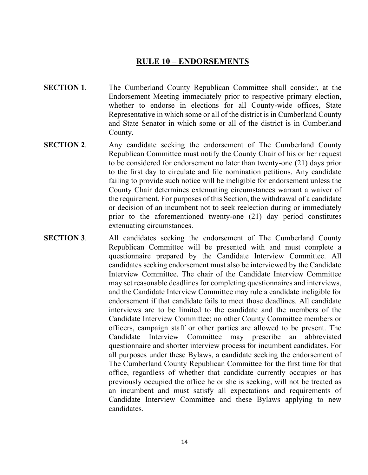### **RULE 10 – ENDORSEMENTS**

- **SECTION 1.** The Cumberland County Republican Committee shall consider, at the Endorsement Meeting immediately prior to respective primary election, whether to endorse in elections for all County-wide offices, State Representative in which some or all of the district is in Cumberland County and State Senator in which some or all of the district is in Cumberland County.
- **SECTION 2.** Any candidate seeking the endorsement of The Cumberland County Republican Committee must notify the County Chair of his or her request to be considered for endorsement no later than twenty-one (21) days prior to the first day to circulate and file nomination petitions. Any candidate failing to provide such notice will be ineligible for endorsement unless the County Chair determines extenuating circumstances warrant a waiver of the requirement. For purposes of this Section, the withdrawal of a candidate or decision of an incumbent not to seek reelection during or immediately prior to the aforementioned twenty-one (21) day period constitutes extenuating circumstances.
- **SECTION 3.** All candidates seeking the endorsement of The Cumberland County Republican Committee will be presented with and must complete a questionnaire prepared by the Candidate Interview Committee. All candidates seeking endorsement must also be interviewed by the Candidate Interview Committee. The chair of the Candidate Interview Committee may set reasonable deadlines for completing questionnaires and interviews, and the Candidate Interview Committee may rule a candidate ineligible for endorsement if that candidate fails to meet those deadlines. All candidate interviews are to be limited to the candidate and the members of the Candidate Interview Committee; no other County Committee members or officers, campaign staff or other parties are allowed to be present. The Candidate Interview Committee may prescribe an abbreviated questionnaire and shorter interview process for incumbent candidates. For all purposes under these Bylaws, a candidate seeking the endorsement of The Cumberland County Republican Committee for the first time for that office, regardless of whether that candidate currently occupies or has previously occupied the office he or she is seeking, will not be treated as an incumbent and must satisfy all expectations and requirements of Candidate Interview Committee and these Bylaws applying to new candidates.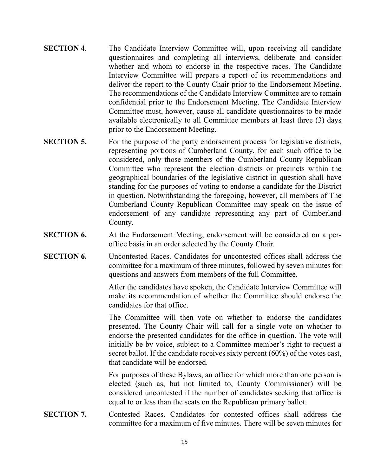- **SECTION 4.** The Candidate Interview Committee will, upon receiving all candidate questionnaires and completing all interviews, deliberate and consider whether and whom to endorse in the respective races. The Candidate Interview Committee will prepare a report of its recommendations and deliver the report to the County Chair prior to the Endorsement Meeting. The recommendations of the Candidate Interview Committee are to remain confidential prior to the Endorsement Meeting. The Candidate Interview Committee must, however, cause all candidate questionnaires to be made available electronically to all Committee members at least three (3) days prior to the Endorsement Meeting.
- **SECTION 5.** For the purpose of the party endorsement process for legislative districts, representing portions of Cumberland County, for each such office to be considered, only those members of the Cumberland County Republican Committee who represent the election districts or precincts within the geographical boundaries of the legislative district in question shall have standing for the purposes of voting to endorse a candidate for the District in question. Notwithstanding the foregoing, however, all members of The Cumberland County Republican Committee may speak on the issue of endorsement of any candidate representing any part of Cumberland County.
- **SECTION 6.** At the Endorsement Meeting, endorsement will be considered on a peroffice basis in an order selected by the County Chair.
- **SECTION 6.** Uncontested Races. Candidates for uncontested offices shall address the committee for a maximum of three minutes, followed by seven minutes for questions and answers from members of the full Committee.

After the candidates have spoken, the Candidate Interview Committee will make its recommendation of whether the Committee should endorse the candidates for that office.

The Committee will then vote on whether to endorse the candidates presented. The County Chair will call for a single vote on whether to endorse the presented candidates for the office in question. The vote will initially be by voice, subject to a Committee member's right to request a secret ballot. If the candidate receives sixty percent (60%) of the votes cast, that candidate will be endorsed.

For purposes of these Bylaws, an office for which more than one person is elected (such as, but not limited to, County Commissioner) will be considered uncontested if the number of candidates seeking that office is equal to or less than the seats on the Republican primary ballot.

**SECTION 7.** Contested Races. Candidates for contested offices shall address the committee for a maximum of five minutes. There will be seven minutes for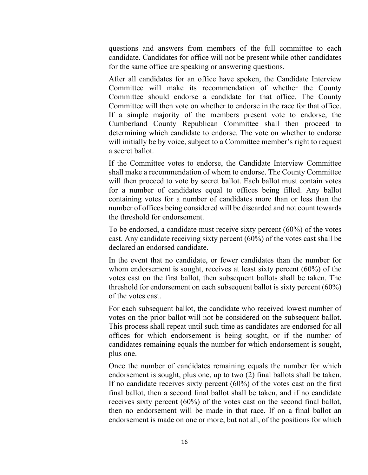questions and answers from members of the full committee to each candidate. Candidates for office will not be present while other candidates for the same office are speaking or answering questions.

After all candidates for an office have spoken, the Candidate Interview Committee will make its recommendation of whether the County Committee should endorse a candidate for that office. The County Committee will then vote on whether to endorse in the race for that office. If a simple majority of the members present vote to endorse, the Cumberland County Republican Committee shall then proceed to determining which candidate to endorse. The vote on whether to endorse will initially be by voice, subject to a Committee member's right to request a secret ballot.

If the Committee votes to endorse, the Candidate Interview Committee shall make a recommendation of whom to endorse. The County Committee will then proceed to vote by secret ballot. Each ballot must contain votes for a number of candidates equal to offices being filled. Any ballot containing votes for a number of candidates more than or less than the number of offices being considered will be discarded and not count towards the threshold for endorsement.

To be endorsed, a candidate must receive sixty percent (60%) of the votes cast. Any candidate receiving sixty percent (60%) of the votes cast shall be declared an endorsed candidate.

In the event that no candidate, or fewer candidates than the number for whom endorsement is sought, receives at least sixty percent (60%) of the votes cast on the first ballot, then subsequent ballots shall be taken. The threshold for endorsement on each subsequent ballot is sixty percent (60%) of the votes cast.

For each subsequent ballot, the candidate who received lowest number of votes on the prior ballot will not be considered on the subsequent ballot. This process shall repeat until such time as candidates are endorsed for all offices for which endorsement is being sought, or if the number of candidates remaining equals the number for which endorsement is sought, plus one.

Once the number of candidates remaining equals the number for which endorsement is sought, plus one, up to two (2) final ballots shall be taken. If no candidate receives sixty percent (60%) of the votes cast on the first final ballot, then a second final ballot shall be taken, and if no candidate receives sixty percent (60%) of the votes cast on the second final ballot, then no endorsement will be made in that race. If on a final ballot an endorsement is made on one or more, but not all, of the positions for which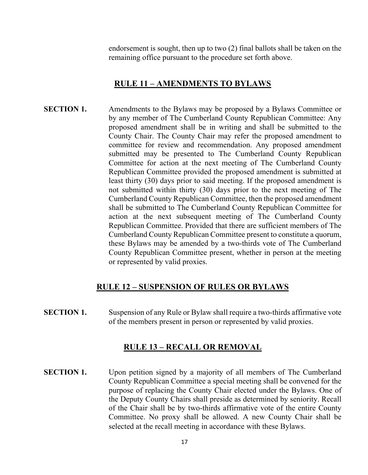endorsement is sought, then up to two (2) final ballots shall be taken on the remaining office pursuant to the procedure set forth above.

#### **RULE 11 – AMENDMENTS TO BYLAWS**

**SECTION 1.** Amendments to the Bylaws may be proposed by a Bylaws Committee or by any member of The Cumberland County Republican Committee: Any proposed amendment shall be in writing and shall be submitted to the County Chair. The County Chair may refer the proposed amendment to committee for review and recommendation. Any proposed amendment submitted may be presented to The Cumberland County Republican Committee for action at the next meeting of The Cumberland County Republican Committee provided the proposed amendment is submitted at least thirty (30) days prior to said meeting. If the proposed amendment is not submitted within thirty (30) days prior to the next meeting of The Cumberland County Republican Committee, then the proposed amendment shall be submitted to The Cumberland County Republican Committee for action at the next subsequent meeting of The Cumberland County Republican Committee. Provided that there are sufficient members of The Cumberland County Republican Committee present to constitute a quorum, these Bylaws may be amended by a two-thirds vote of The Cumberland County Republican Committee present, whether in person at the meeting or represented by valid proxies.

#### **RULE 12 – SUSPENSION OF RULES OR BYLAWS**

**SECTION 1.** Suspension of any Rule or Bylaw shall require a two-thirds affirmative vote of the members present in person or represented by valid proxies.

### **RULE 13 – RECALL OR REMOVAL**

**SECTION 1.** Upon petition signed by a majority of all members of The Cumberland County Republican Committee a special meeting shall be convened for the purpose of replacing the County Chair elected under the Bylaws. One of the Deputy County Chairs shall preside as determined by seniority. Recall of the Chair shall be by two-thirds affirmative vote of the entire County Committee. No proxy shall be allowed. A new County Chair shall be selected at the recall meeting in accordance with these Bylaws.